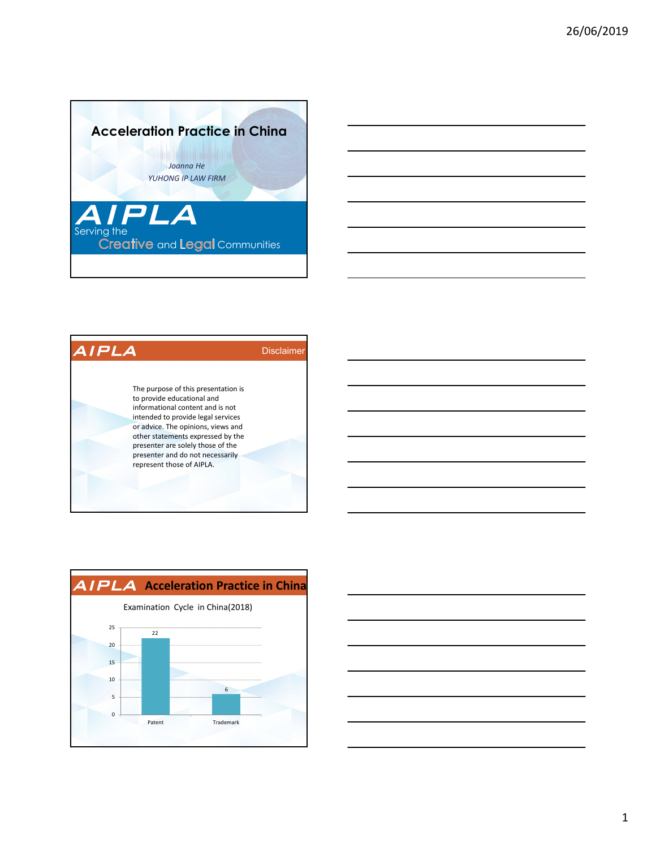







1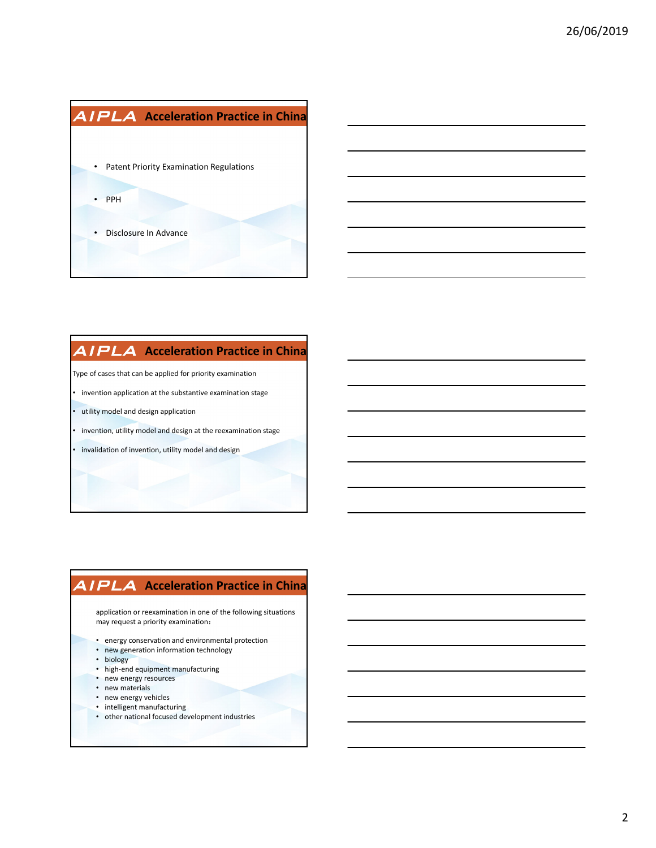



#### **AIPLA** Acceleration Practice in China

Type of cases that can be applied for priority examination

- invention application at the substantive examination stage
- utility model and design application
- invention, utility model and design at the reexamination stage
- invalidation of invention, utility model and design

#### **AIPLA** Acceleration Practice in China

application or reexamination in one of the following situations may request a priority examination:

- energy conservation and environmental protection
- new generation information technology
- biology
- high‐end equipment manufacturing
- new energy resources
- new materials
- new energy vehicles
- intelligent manufacturing
- other national focused development industries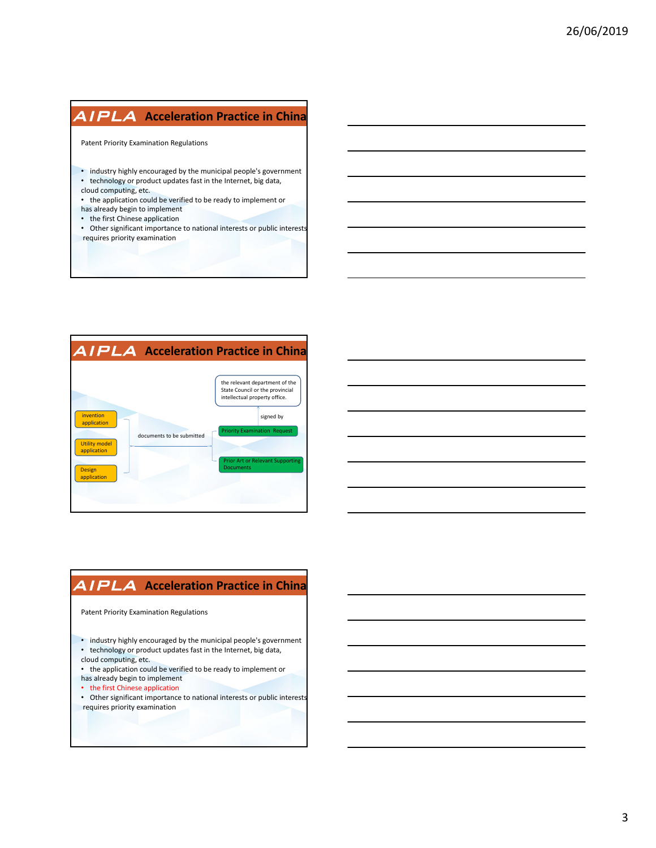### **AIPLA** Acceleration Practice in China

Patent Priority Examination Regulations

- industry highly encouraged by the municipal people's government
- technology or product updates fast in the Internet, big data,
- cloud computing, etc.
- the application could be verified to be ready to implement or
- has already begin to implement
- the first Chinese application
- Other significant importance to national interests or public interests requires priority examination



### **AIPLA** Acceleration Practice in China

Patent Priority Examination Regulations

- industry highly encouraged by the municipal people's government
- technology or product updates fast in the Internet, big data,
- cloud computing, etc.
- the application could be verified to be ready to implement or has already begin to implement
- the first Chinese application
- Other significant importance to national interests or public interests requires priority examination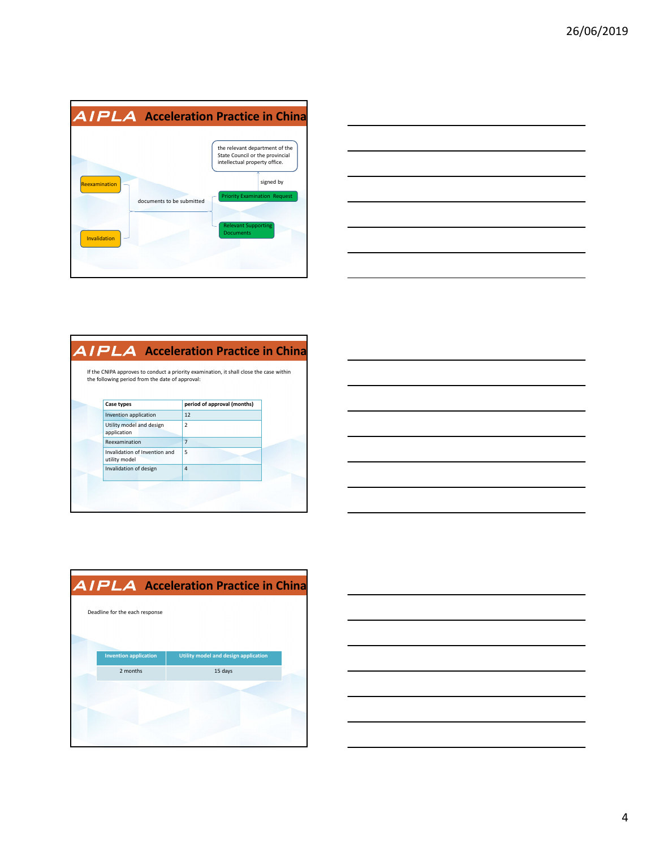| <b>AIPLA</b> Acceleration Practice in China                |                                                                                                                                                                                                          |
|------------------------------------------------------------|----------------------------------------------------------------------------------------------------------------------------------------------------------------------------------------------------------|
| Reexamination<br>documents to be submitted<br>Invalidation | the relevant department of the<br>State Council or the provincial<br>intellectual property office.<br>signed by<br><b>Priority Examination Request</b><br><b>Relevant Supporting</b><br><b>Documents</b> |

| ______  |
|---------|
| _______ |
|         |
|         |

| the following period from the date of approval: | If the CNIPA approves to conduct a priority examination, it shall close the case within |
|-------------------------------------------------|-----------------------------------------------------------------------------------------|
| Case types                                      | period of approval (months)                                                             |
| Invention application                           | 12                                                                                      |
| Utility model and design<br>application         | $\mathcal{P}$                                                                           |
| Reexamination                                   | $\overline{7}$                                                                          |
| Invalidation of Invention and<br>utility model  | 5                                                                                       |
| Invalidation of design                          | $\overline{4}$                                                                          |



|                                | <b>AIPLA</b> Acceleration Practice in China |  |
|--------------------------------|---------------------------------------------|--|
| Deadline for the each response |                                             |  |
|                                |                                             |  |
| <b>Invention application</b>   | Utility model and design application        |  |
| 2 months                       | 15 days                                     |  |
|                                |                                             |  |
|                                |                                             |  |
|                                |                                             |  |
|                                |                                             |  |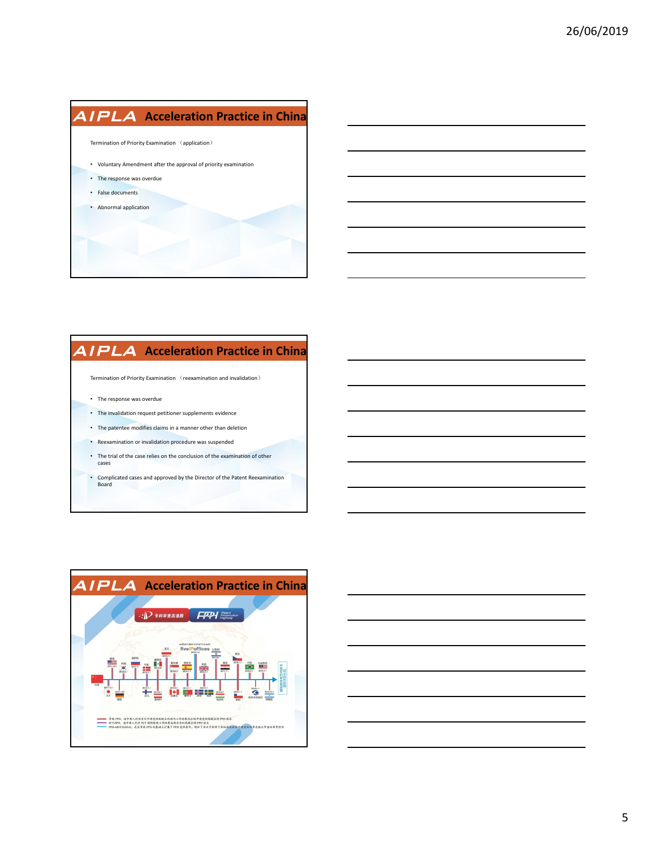# **AIPLA** Acceleration Practice in China

Termination of Priority Examination (application)

- Voluntary Amendment after the approval of priority examination
- The response was overdue
- False documents
- Abnormal application

## **AIPLA** Acceleration Practice in China

 ${\sf Termination}$  of Priority Examination  $\hspace{0.1mm}$  (reexamination and invalidation  $\hspace{0.1mm}$ 

- The response was overdue
- The invalidation request petitioner supplements evidence
- The patentee modifies claims in a manner other than deletion
- Reexamination or invalidation procedure was suspended
- The trial of the case relies on the conclusion of the examination of other cases
- Complicated cases and approved by the Director of the Patent Reexamination Board